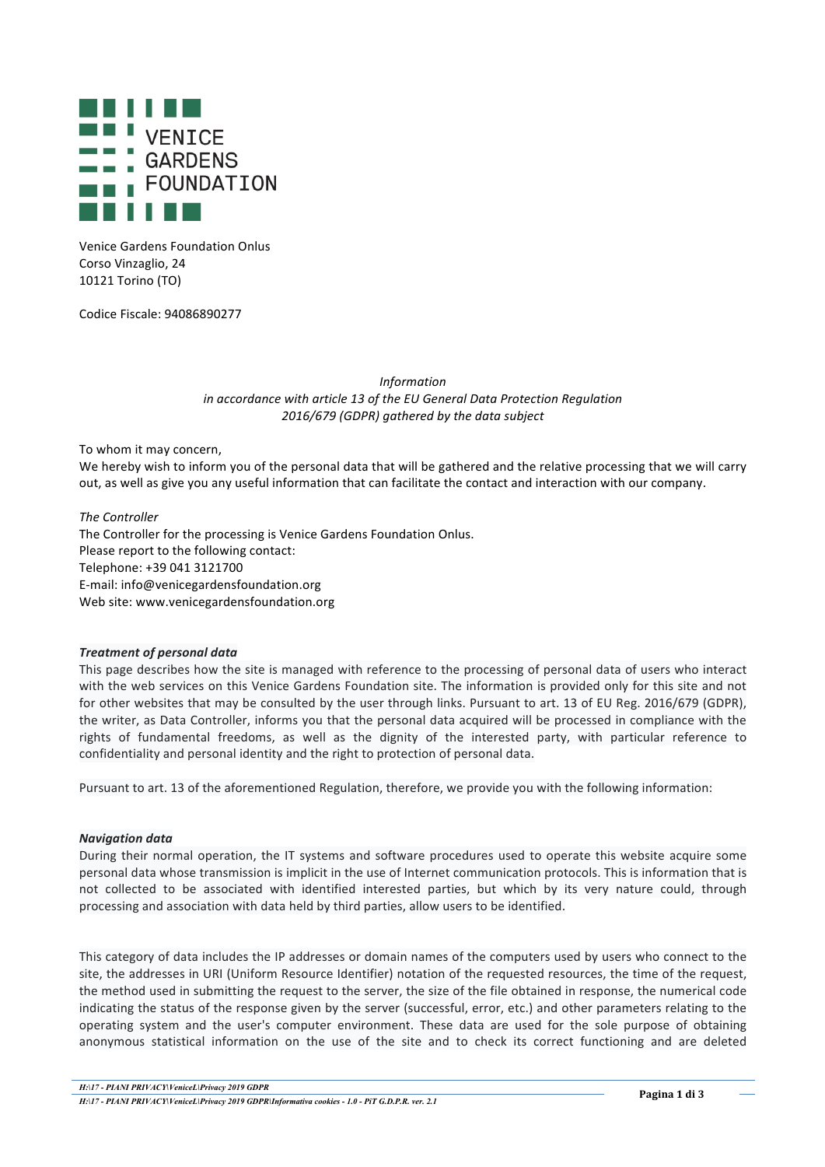

Venice Gardens Foundation Onlus Corso Vinzaglio, 24 10121 Torino (TO)

Codice Fiscale: 94086890277

*Information in accordance with article 13 of the EU General Data Protection Regulation 2016/679 (GDPR) gathered by the data subject*

To whom it may concern,

We hereby wish to inform you of the personal data that will be gathered and the relative processing that we will carry out, as well as give you any useful information that can facilitate the contact and interaction with our company.

*The Controller* The Controller for the processing is Venice Gardens Foundation Onlus. Please report to the following contact: Telephone: +39 041 3121700 E-mail: info@venicegardensfoundation.org Web site: www.venicegardensfoundation.org

## *Treatment of personal data*

This page describes how the site is managed with reference to the processing of personal data of users who interact with the web services on this Venice Gardens Foundation site. The information is provided only for this site and not for other websites that may be consulted by the user through links. Pursuant to art. 13 of EU Reg. 2016/679 (GDPR), the writer, as Data Controller, informs you that the personal data acquired will be processed in compliance with the rights of fundamental freedoms, as well as the dignity of the interested party, with particular reference to confidentiality and personal identity and the right to protection of personal data.

Pursuant to art. 13 of the aforementioned Regulation, therefore, we provide you with the following information:

## *Navigation data*

During their normal operation, the IT systems and software procedures used to operate this website acquire some personal data whose transmission is implicit in the use of Internet communication protocols. This is information that is not collected to be associated with identified interested parties, but which by its very nature could, through processing and association with data held by third parties, allow users to be identified.

This category of data includes the IP addresses or domain names of the computers used by users who connect to the site, the addresses in URI (Uniform Resource Identifier) notation of the requested resources, the time of the request, the method used in submitting the request to the server, the size of the file obtained in response, the numerical code indicating the status of the response given by the server (successful, error, etc.) and other parameters relating to the operating system and the user's computer environment. These data are used for the sole purpose of obtaining anonymous statistical information on the use of the site and to check its correct functioning and are deleted

*H:\17 - PIANI PRIVACY\VeniceL\Privacy 2019 GDPR*<br> *H:\17 - PIANI PRIVACY\VeniceL\Privacy 2019 GDPR\Informativa cookies - 1.0 - PiT G.D.P.R. ver. 2.1* **Pagina 1 2.1**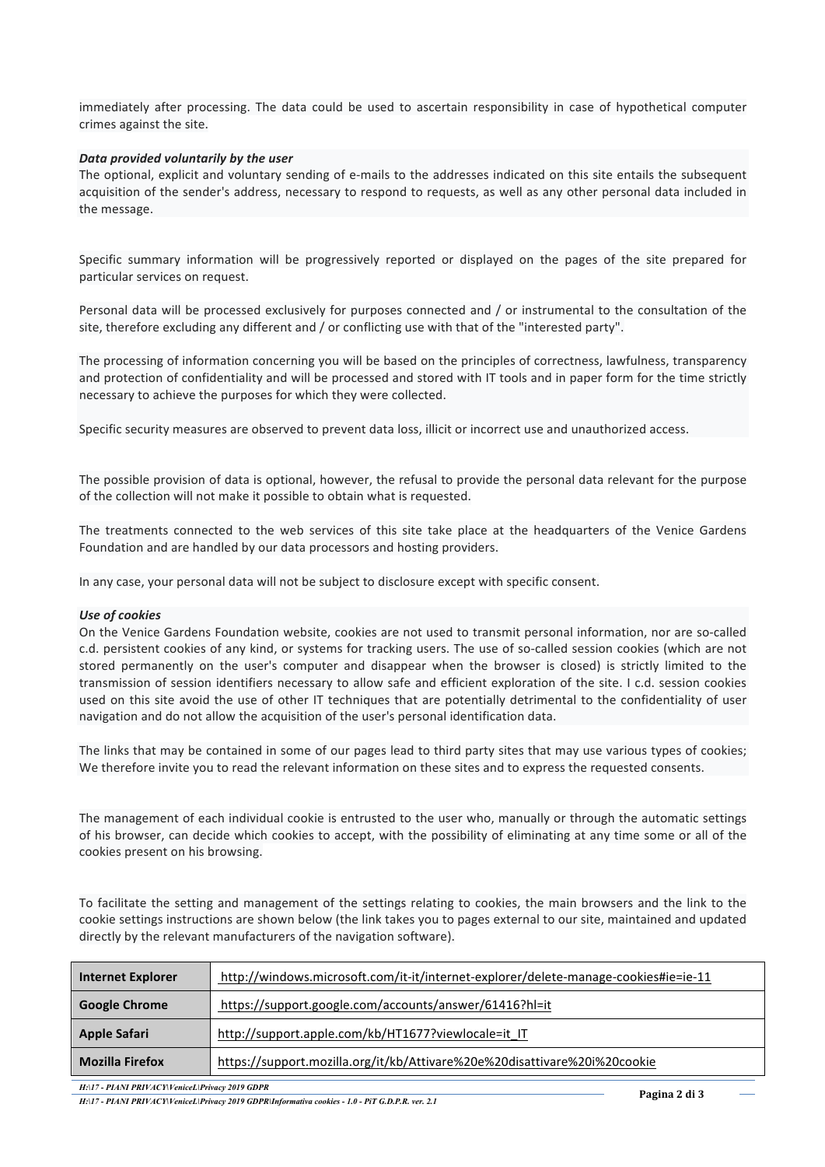immediately after processing. The data could be used to ascertain responsibility in case of hypothetical computer crimes against the site.

## Data provided voluntarily by the user

The optional, explicit and voluntary sending of e-mails to the addresses indicated on this site entails the subsequent acquisition of the sender's address, necessary to respond to requests, as well as any other personal data included in the message.

Specific summary information will be progressively reported or displayed on the pages of the site prepared for particular services on request.

Personal data will be processed exclusively for purposes connected and / or instrumental to the consultation of the site, therefore excluding any different and / or conflicting use with that of the "interested party".

The processing of information concerning you will be based on the principles of correctness, lawfulness, transparency and protection of confidentiality and will be processed and stored with IT tools and in paper form for the time strictly necessary to achieve the purposes for which they were collected.

Specific security measures are observed to prevent data loss, illicit or incorrect use and unauthorized access.

The possible provision of data is optional, however, the refusal to provide the personal data relevant for the purpose of the collection will not make it possible to obtain what is requested.

The treatments connected to the web services of this site take place at the headquarters of the Venice Gardens Foundation and are handled by our data processors and hosting providers.

In any case, your personal data will not be subject to disclosure except with specific consent.

## Use of cookies

On the Venice Gardens Foundation website, cookies are not used to transmit personal information, nor are so-called c.d. persistent cookies of any kind, or systems for tracking users. The use of so-called session cookies (which are not stored permanently on the user's computer and disappear when the browser is closed) is strictly limited to the transmission of session identifiers necessary to allow safe and efficient exploration of the site. I c.d. session cookies used on this site avoid the use of other IT techniques that are potentially detrimental to the confidentiality of user navigation and do not allow the acquisition of the user's personal identification data.

The links that may be contained in some of our pages lead to third party sites that may use various types of cookies; We therefore invite you to read the relevant information on these sites and to express the requested consents.

The management of each individual cookie is entrusted to the user who, manually or through the automatic settings of his browser, can decide which cookies to accept, with the possibility of eliminating at any time some or all of the cookies present on his browsing.

To facilitate the setting and management of the settings relating to cookies, the main browsers and the link to the cookie settings instructions are shown below (the link takes you to pages external to our site, maintained and updated directly by the relevant manufacturers of the navigation software).

| <b>Internet Explorer</b> | http://windows.microsoft.com/it-it/internet-explorer/delete-manage-cookies#ie=ie-11 |
|--------------------------|-------------------------------------------------------------------------------------|
| <b>Google Chrome</b>     | https://support.google.com/accounts/answer/61416?hl=it                              |
| Apple Safari             | http://support.apple.com/kb/HT1677?viewlocale=it IT                                 |
| <b>Mozilla Firefox</b>   | https://support.mozilla.org/it/kb/Attivare%20e%20disattivare%20i%20cookie           |

*H:\17 - PIANI PRIVACY\VeniceL\Privacy 2019 GDPR*<br> *H:\17 - PIANI PRIVACY\VeniceL\Privacy 2019 GDPR\Informativa cookies - 1.0 - PiT G.D.P.R. ver. 2.1* **Pagina 2012 Pagina 2 di 3**